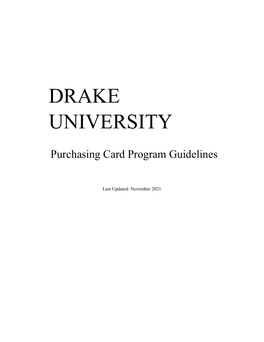# DRAKE UNIVERSITY

# Purchasing Card Program Guidelines

Last Updated: November 2021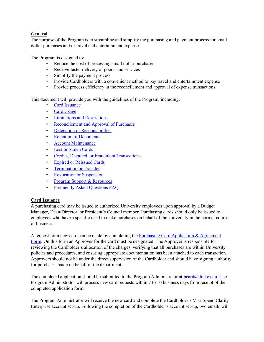# General

The purpose of the Program is to streamline and simplify the purchasing and payment process for small dollar purchases and/or travel and entertainment expense.

The Program is designed to:

- Reduce the cost of processing small dollar purchases
- Receive faster delivery of goods and services
- Simplify the payment process
- Provide Cardholders with a convenient method to pay travel and entertainment expense
- Provide process efficiency in the reconcilement and approval of expense transactions

This document will provide you with the guidelines of the Program, including:

- **Card Issuance**
- Card Usage
- Limitations and Restrictions
- Reconcilement and Approval of Purchases
- Delegation of Responsibilities
- Retention of Documents
- Account Maintenance
- Lost or Stolen Cards
- Credits, Disputed, or Fraudulent Transactions
- Expired or Reissued Cards
- Termination or Transfer
- Revocation or Suspension
- Program Support & Resources
- Frequently Asked Questions FAQ

## Card Issuance

A purchasing card may be issued to authorized University employees upon approval by a Budget Manager, Dean/Director, or President's Council member. Purchasing cards should only be issued to employees who have a specific need to make purchases on behalf of the University in the normal course of business.

A request for a new card can be made by completing the Purchasing Card Application  $\&$  Agreement Form. On this form an Approver for the card must be designated. The Approver is responsible for reviewing the Cardholder's allocation of the charges, verifying that all purchases are within University policies and procedures, and ensuring appropriate documentation has been attached to each transaction. Approvers should not be under the direct supervision of the Cardholder and should have signing authority for purchases made on behalf of the department.

The completed application should be submitted to the Program Administrator at  $\text{pcard}(a)$ drake.edu. The Program Administrator will process new card requests within 7 to 10 business days from receipt of the completed application form.

The Program Administrator will receive the new card and complete the Cardholder's Visa Spend Clarity Enterprise account set-up. Following the completion of the Cardholder's account set-up, two emails will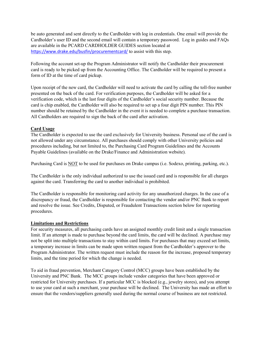be auto generated and sent directly to the Cardholder with log in credentials. One email will provide the Cardholder's user ID and the second email will contain a temporary password. Log in guides and FAQs are available in the PCARD CARDHOLDER GUIDES section located at https://www.drake.edu/busfin/procurementcard/ to assist with this step.

Following the account set-up the Program Administrator will notify the Cardholder their procurement card is ready to be picked up from the Accounting Office. The Cardholder will be required to present a form of ID at the time of card pickup.

Upon receipt of the new card, the Cardholder will need to activate the card by calling the toll-free number presented on the back of the card. For verification purposes, the Cardholder will be asked for a verification code, which is the last four digits of the Cardholder's social security number. Because the card is chip enabled, the Cardholder will also be required to set up a four digit PIN number. This PIN number should be retained by the Cardholder in the event it is needed to complete a purchase transaction. All Cardholders are required to sign the back of the card after activation.

#### Card Usage

The Cardholder is expected to use the card exclusively for University business. Personal use of the card is not allowed under any circumstance. All purchases should comply with other University policies and procedures including, but not limited to, the Purchasing Card Program Guidelines and the Accounts Payable Guidelines (available on the Drake/Finance and Administration website).

Purchasing Card is NOT to be used for purchases on Drake campus (i.e. Sodexo, printing, parking, etc.).

The Cardholder is the only individual authorized to use the issued card and is responsible for all charges against the card. Transferring the card to another individual is prohibited.

The Cardholder is responsible for monitoring card activity for any unauthorized charges. In the case of a discrepancy or fraud, the Cardholder is responsible for contacting the vendor and/or PNC Bank to report and resolve the issue. See Credits, Disputed, or Fraudulent Transactions section below for reporting procedures.

#### Limitations and Restrictions

For security measures, all purchasing cards have an assigned monthly credit limit and a single transaction limit. If an attempt is made to purchase beyond the card limits, the card will be declined. A purchase may not be split into multiple transactions to stay within card limits. For purchases that may exceed set limits, a temporary increase in limits can be made upon written request from the Cardholder's approver to the Program Administrator. The written request must include the reason for the increase, proposed temporary limits, and the time period for which the change is needed.

To aid in fraud prevention, Merchant Category Control (MCC) groups have been established by the University and PNC Bank. The MCC groups include vendor categories that have been approved or restricted for University purchases. If a particular MCC is blocked (e.g., jewelry stores), and you attempt to use your card at such a merchant, your purchase will be declined. The University has made an effort to ensure that the vendors/suppliers generally used during the normal course of business are not restricted.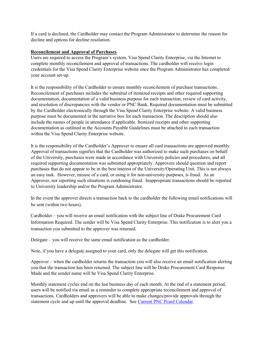If a card is declined, the Cardholder may contact the Program Administrator to determine the reason for decline and options for decline resolution.

#### Reconcilement and Approval of Purchases

Users are required to access the Program's system, Visa Spend Clarity Enterprise, via the Internet to complete monthly reconcilement and approval of transactions. The cardholder will receive login credentials for the Visa Spend Clarity Enterprise website once the Program Administrator has completed your account set-up.

It is the responsibility of the Cardholder to ensure monthly reconcilement of purchase transactions. Reconcilement of purchases includes the submittal of itemized receipts and other required supporting documentation, documentation of a valid business purpose for each transaction, review of card activity, and resolution of discrepancies with the vendor or PNC Bank. Required documentation must be submitted by the Cardholder electronically through the Visa Spend Clarity Enterprise website. A valid business purpose must be documented in the narrative box for each transaction. The description should also include the names of people in attendance if applicable. Itemized receipts and other supporting documentation as outlined in the Accounts Payable Guidelines must be attached to each transaction within the Visa Spend Clarity Enterprise website.

It is the responsibility of the Cardholder's Approver to ensure all card transactions are approved monthly. Approval of transactions signifies that the Cardholder was authorized to make such purchases on behalf of the University, purchases were made in accordance with University policies and procedures, and all required supporting documentation was submitted appropriately. Approvers should question and report purchases that do not appear to be in the best interest of the University/Operating Unit. This is not always an easy task. However, misuse of a card, or using it for non-university purposes, is fraud. As an Approver, not reporting such situations is condoning fraud. Inappropriate transactions should be reported to University leadership and/or the Program Administrator.

In the event the approver directs a transaction back to the cardholder the following email notifications will be sent (within two hours).

Cardholder – you will receive an email notification with the subject line of Drake Procurement Card Information Required. The sender will be Visa Spend Clarity Enterprise. This notification is to alert you a transaction you submitted to the approver was returned.

Delegate – you will receive the same email notification as the cardholder.

Note, if you have a delegate assigned to your card, only the delegate will get this notification.

Approver – when the cardholder returns the transaction you will also receive an email notification alerting you that the transaction has been returned. The subject line will be Drake Procurement Card Response Made and the sender name will be Visa Spend Clarity Enterprise.

Monthly statement cycles end on the last business day of each month. At the end of a statement period, users will be notified via email as a reminder to complete appropriate reconcilement and approval of transactions. Cardholders and approvers will be able to make changes/provide approvals through the statement cycle and up until the approval deadline. See Current PNC Pcard Calendar.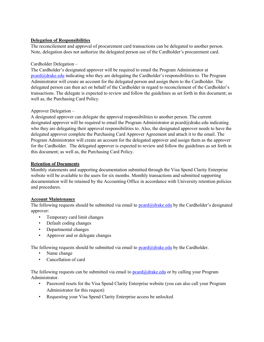## Delegation of Responsibilities

The reconcilement and approval of procurement card transactions can be delegated to another person. Note, delegation does not authorize the delegated person use of the Cardholder's procurement card.

#### Cardholder Delegation –

The Cardholder's designated approver will be required to email the Program Administrator at pcard@drake.edu indicating who they are delegating the Cardholder's responsibilities to. The Program Administrator will create an account for the delegated person and assign them to the Cardholder. The delegated person can then act on behalf of the Cardholder in regard to reconcilement of the Cardholder's transactions. The delegate is expected to review and follow the guidelines as set forth in this document; as well as, the Purchasing Card Policy.

#### Approver Delegation –

A designated approver can delegate the approval responsibilities to another person. The current designated approver will be required to email the Program Administrator at pcard@drake.edu indicating who they are delegating their approval responsibilities to. Also, the designated approver needs to have the delegated approver complete the Purchasing Card Approver Agreement and attach it to the email. The Program Administrator will create an account for the delegated approver and assign them as the approver for the Cardholder. The delegated approver is expected to review and follow the guidelines as set forth in this document; as well as, the Purchasing Card Policy.

#### Retention of Documents

Monthly statements and supporting documentation submitted through the Visa Spend Clarity Enterprise website will be available to the users for six months. Monthly transactions and submitted supporting documentation will be retained by the Accounting Office in accordance with University retention policies and procedures.

#### Account Maintenance

The following requests should be submitted via email to  $\text{perd}\left(\mathcal{A}\right)$  odgrake.edu by the Cardholder's designated approver:

- Temporary card limit changes
- Default coding changes
- Departmental changes
- Approver and or delegate changes

The following requests should be submitted via email to  $\text{pcard}(\partial_t d \text{rate}.edu$  by the Cardholder.

- Name change
- Cancellation of card

The following requests can be submitted via email to  $\frac{\text{perd}\left(\partial_{\text{data}}\right)}{\text{perd}\left(\partial_{\text{data}}\right)}$  or by calling your Program Administrator.

- Password resets for the Visa Spend Clarity Enterprise website (you can also call your Program Administrator for this request)
- Requesting your Visa Spend Clarity Enterprise access be unlocked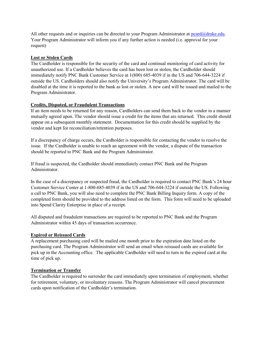All other requests and or inquiries can be directed to your Program Administrator at pcard@drake.edu. Your Program Administrator will inform you if any further action is needed (i.e. approval for your request)

#### Lost or Stolen Cards

The Cardholder is responsible for the security of the card and continual monitoring of card activity for unauthorized use. If a Cardholder believes the card has been lost or stolen, the Cardholder should immediately notify PNC Bank Customer Service at 1(800) 685-4039 if in the US and 706-644-3224 if outside the US. Cardholders should also notify the University's Program Administrator. The card will be disabled at the time it is reported to the bank as lost or stolen. A new card will be issued and mailed to the Program Administrator.

## Credits, Disputed, or Fraudulent Transactions

If an item needs to be returned for any reason, Cardholders can send them back to the vendor in a manner mutually agreed upon. The vendor should issue a credit for the items that are returned. This credit should appear on a subsequent monthly statement. Documentation for this credit should be supplied by the vendor and kept for reconciliation/retention purposes.

If a discrepancy of charge occurs, the Cardholder is responsible for contacting the vendor to resolve the issue. If the Cardholder is unable to reach an agreement with the vendor, a dispute of the transaction should be reported to PNC Bank and the Program Administrator.

If fraud is suspected, the Cardholder should immediately contact PNC Bank and the Program Administrator.

In the case of a discrepancy or suspected fraud, the Cardholder is required to contact PNC Bank's 24 hour Customer Service Center at 1-800-685-4039 if in the US and 706-644-3224 if outside the US. Following a call to PNC Bank, you will also need to complete the PNC Bank Billing Inquiry form. A copy of the completed form should be provided to the address listed on the form. This form will need to be uploaded into Spend Clarity Enterprise in place of a receipt.

All disputed and fraudulent transactions are required to be reported to PNC Bank and the Program Administrator within 45 days of transaction occurrence.

## Expired or Reissued Cards

A replacement purchasing card will be mailed one month prior to the expiration date listed on the purchasing card. The Program Administrator will send an email when reissued cards are available for pick up in the Accounting office. The applicable Cardholder will need to turn in the expired card at the time of pick up.

## Termination or Transfer

The Cardholder is required to surrender the card immediately upon termination of employment, whether for retirement, voluntary, or involuntary reasons. The Program Administrator will cancel procurement cards upon notification of the Cardholder's termination.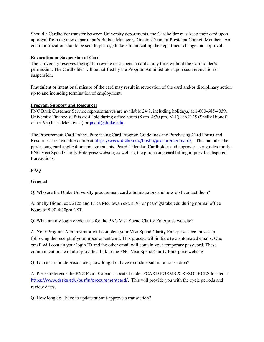Should a Cardholder transfer between University departments, the Cardholder may keep their card upon approval from the new department's Budget Manager, Director/Dean, or President Council Member. An email notification should be sent to pcard@drake.edu indicating the department change and approval.

#### Revocation or Suspension of Card

The University reserves the right to revoke or suspend a card at any time without the Cardholder's permission. The Cardholder will be notified by the Program Administrator upon such revocation or suspension.

Fraudulent or intentional misuse of the card may result in revocation of the card and/or disciplinary action up to and including termination of employment.

## Program Support and Resources

PNC Bank Customer Service representatives are available 24/7, including holidays, at 1-800-685-4039. University Finance staff is available during office hours (8 am–4:30 pm, M-F) at x2125 (Shelly Biondi) or x3193 (Erica McGowan) or peard@drake.edu.

The Procurement Card Policy, Purchasing Card Program Guidelines and Purchasing Card Forms and Resources are available online at https://www.drake.edu/busfin/procurementcard/. This includes the purchasing card application and agreements, Pcard Calendar, Cardholder and approver user guides for the PNC Visa Spend Clarity Enterprise website; as well as, the purchasing card billing inquiry for disputed transactions.

# FAQ

## General

Q. Who are the Drake University procurement card administrators and how do I contact them?

A. Shelly Biondi ext. 2125 and Erica McGowan ext. 3193 or pcard@drake.edu during normal office hours of 8:00-4:30pm CST.

Q. What are my login credentials for the PNC Visa Spend Clarity Enterprise website?

A. Your Program Administrator will complete your Visa Spend Clarity Enterprise account set-up following the receipt of your procurement card. This process will initiate two automated emails. One email will contain your login ID and the other email will contain your temporary password. These communications will also provide a link to the PNC Visa Spend Clarity Enterprise website.

Q. I am a cardholder/reconciler, how long do I have to update/submit a transaction?

A. Please reference the PNC Pcard Calendar located under PCARD FORMS & RESOURCES located at https://www.drake.edu/busfin/procurementcard/. This will provide you with the cycle periods and review dates.

Q. How long do I have to update/submit/approve a transaction?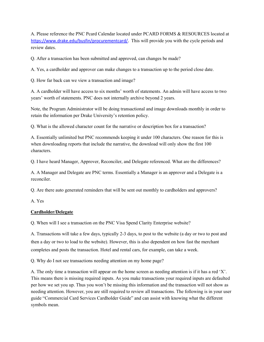A. Please reference the PNC Pcard Calendar located under PCARD FORMS & RESOURCES located at https://www.drake.edu/busfin/procurementcard/. This will provide you with the cycle periods and review dates.

Q. After a transaction has been submitted and approved, can changes be made?

A. Yes, a cardholder and approver can make changes to a transaction up to the period close date.

Q. How far back can we view a transaction and image?

A. A cardholder will have access to six months' worth of statements. An admin will have access to two years' worth of statements. PNC does not internally archive beyond 2 years.

Note, the Program Administrator will be doing transactional and image downloads monthly in order to retain the information per Drake University's retention policy.

Q. What is the allowed character count for the narrative or description box for a transaction?

A. Essentially unlimited but PNC recommends keeping it under 100 characters. One reason for this is when downloading reports that include the narrative, the download will only show the first 100 characters.

Q. I have heard Manager, Approver, Reconciler, and Delegate referenced. What are the differences?

A. A Manager and Delegate are PNC terms. Essentially a Manager is an approver and a Delegate is a reconciler.

Q. Are there auto generated reminders that will be sent out monthly to cardholders and approvers?

A. Yes

## Cardholder/Delegate

Q. When will I see a transaction on the PNC Visa Spend Clarity Enterprise website?

A. Transactions will take a few days, typically 2-3 days, to post to the website (a day or two to post and then a day or two to load to the website). However, this is also dependent on how fast the merchant completes and posts the transaction. Hotel and rental cars, for example, can take a week.

Q. Why do I not see transactions needing attention on my home page?

A. The only time a transaction will appear on the home screen as needing attention is if it has a red 'X'. This means there is missing required inputs. As you make transactions your required inputs are defaulted per how we set you up. Thus you won't be missing this information and the transaction will not show as needing attention. However, you are still required to review all transactions. The following is in your user guide "Commercial Card Services Cardholder Guide" and can assist with knowing what the different symbols mean.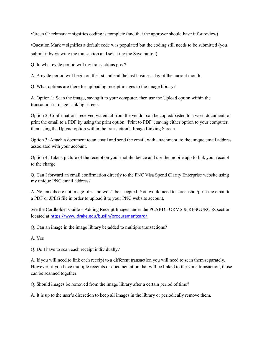•Green Checkmark = signifies coding is complete (and that the approver should have it for review)

•Question Mark = signifies a default code was populated but the coding still needs to be submitted (you submit it by viewing the transaction and selecting the Save button)

Q. In what cycle period will my transactions post?

A. A cycle period will begin on the 1st and end the last business day of the current month.

Q. What options are there for uploading receipt images to the image library?

A. Option 1: Scan the image, saving it to your computer, then use the Upload option within the transaction's Image Linking screen.

Option 2: Confirmations received via email from the vendor can be copied/pasted to a word document, or print the email to a PDF by using the print option "Print to PDF", saving either option to your computer, then using the Upload option within the transaction's Image Linking Screen.

Option 3: Attach a document to an email and send the email, with attachment, to the unique email address associated with your account.

Option 4: Take a picture of the receipt on your mobile device and use the mobile app to link your receipt to the charge.

Q. Can I forward an email confirmation directly to the PNC Visa Spend Clarity Enterprise website using my unique PNC email address?

A. No, emails are not image files and won't be accepted. You would need to screenshot/print the email to a PDF or JPEG file in order to upload it to your PNC website account.

See the Cardholder Guide – Adding Receipt Images under the PCARD FORMS & RESOURCES section located at https://www.drake.edu/busfin/procurementcard/.

Q. Can an image in the image library be added to multiple transactions?

A. Yes

Q. Do I have to scan each receipt individually?

A. If you will need to link each receipt to a different transaction you will need to scan them separately. However, if you have multiple receipts or documentation that will be linked to the same transaction, those can be scanned together.

Q. Should images be removed from the image library after a certain period of time?

A. It is up to the user's discretion to keep all images in the library or periodically remove them.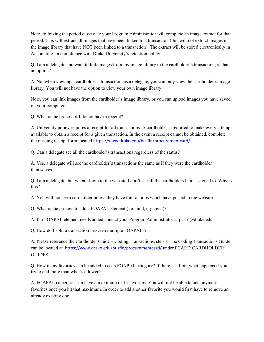Note, following the period close date your Program Administrator will complete an image extract for that period. This will extract all images that have been linked to a transaction (this will not extract images in the image library that have NOT been linked to a transaction). The extract will be stored electronically in Accounting, in compliance with Drake University's retention policy.

Q. I am a delegate and want to link images from my image library to the cardholder's transaction, is that an option?

A. No, when viewing a cardholder's transaction, as a delegate, you can only view the cardholder's image library. You will not have the option to view your own image library.

Note, you can link images from the cardholder's image library, or you can upload images you have saved on your computer.

Q. What is the process if I do not have a receipt?

A. University policy requires a receipt for all transactions. A cardholder is required to make every attempt available to obtain a receipt for a given transaction. In the event a receipt cannot be obtained, complete the missing receipt form located https://www.drake.edu/busfin/procurementcard/.

Q. Can a delegate see all the cardholder's transactions regardless of the status?

A. Yes, a delegate will see the cardholder's transactions the same as if they were the cardholder themselves.

Q. I am a delegate, but when I login to the website I don't see all the cardholders I am assigned to. Why is this?

A. You will not see a cardholder unless they have transactions which have posted to the website.

Q. What is the process to add a FOAPAL element (i.e. fund, org., etc.)?

A. If a FOAPAL element needs added contact your Program Administrator at pcard@drake.edu.

Q. How do I split a transaction between multiple FOAPALs?

A. Please reference the Cardholder Guide – Coding Transactions, step 7. The Coding Transactions Guide can be located at https://www.drake.edu/busfin/procurementcard/ under PCARD CARDHOLDER GUIDES.

Q. How many favorites can be added to each FOAPAL category? If there is a limit what happens if you try to add more than what's allowed?

A. FOAPAL categories can have a maximum of 15 favorites. You will not be able to add anymore favorites once you hit that maximum. In order to add another favorite you would first have to remove an already existing one.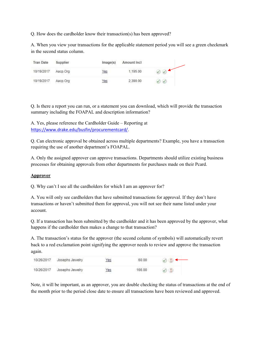Q. How does the cardholder know their transaction(s) has been approved?

A. When you view your transactions for the applicable statement period you will see a green checkmark in the second status column.

| <b>Tran Date</b> | Supplier | Image(s)   | Amount Incl |  |
|------------------|----------|------------|-------------|--|
| 10/19/2017       | Aacp.Org | <u>/es</u> | 1.195.00    |  |
| 10/19/2017       | Aacp.Org | Yes        | 2,390.00    |  |

Q. Is there a report you can run, or a statement you can download, which will provide the transaction summary including the FOAPAL and description information?

A. Yes, please reference the Cardholder Guide – Reporting at https://www.drake.edu/busfin/procurementcard/.

Q. Can electronic approval be obtained across multiple departments? Example, you have a transaction requiring the use of another department's FOAPAL.

A. Only the assigned approver can approve transactions. Departments should utilize existing business processes for obtaining approvals from other departments for purchases made on their Pcard.

#### Approver

Q. Why can't I see all the cardholders for which I am an approver for?

A. You will only see cardholders that have submitted transactions for approval. If they don't have transactions or haven't submitted them for approval, you will not see their name listed under your account.

Q. If a transaction has been submitted by the cardholder and it has been approved by the approver, what happens if the cardholder then makes a change to that transaction?

A. The transaction's status for the approver (the second column of symbols) will automatically revert back to a red exclamation point signifying the approver needs to review and approve the transaction again.

| 10/26/2017 Josephs Jewelry | Yes | 60.00  |  |
|----------------------------|-----|--------|--|
| 10/26/2017 Josephs Jewelry | Yes | 166.00 |  |

Note, it will be important, as an approver, you are double checking the status of transactions at the end of the month prior to the period close date to ensure all transactions have been reviewed and approved.